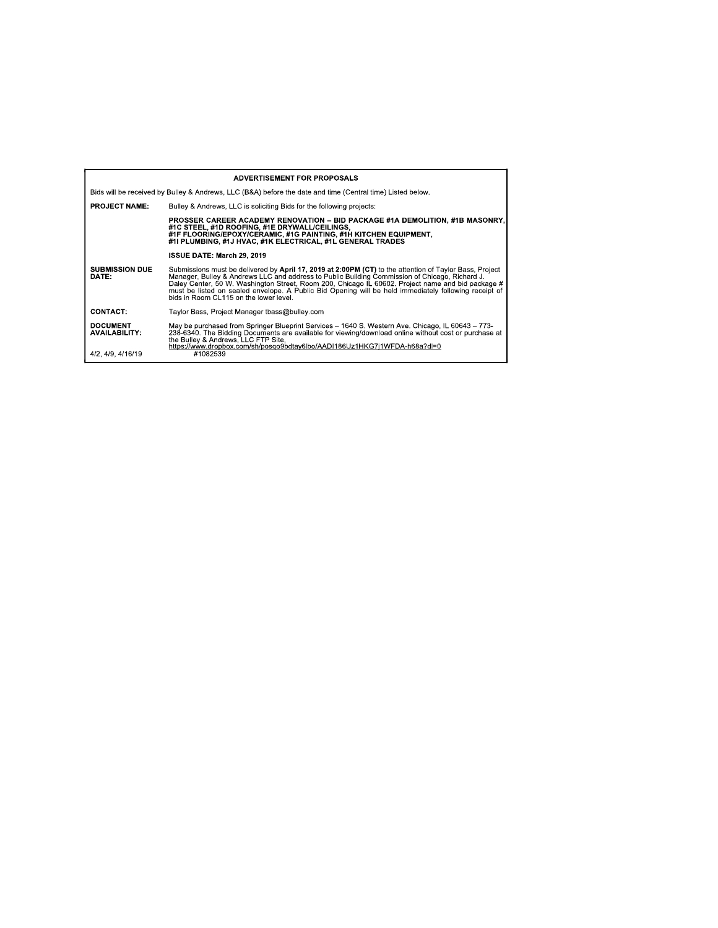| <b>ADVERTISEMENT FOR PROPOSALS</b>                                                                         |                                                                                                                                                                                                                                                                                                                                                                                                                                                                   |  |  |  |
|------------------------------------------------------------------------------------------------------------|-------------------------------------------------------------------------------------------------------------------------------------------------------------------------------------------------------------------------------------------------------------------------------------------------------------------------------------------------------------------------------------------------------------------------------------------------------------------|--|--|--|
| Bids will be received by Bulley & Andrews, LLC (B&A) before the date and time (Central time) Listed below. |                                                                                                                                                                                                                                                                                                                                                                                                                                                                   |  |  |  |
| <b>PROJECT NAME:</b>                                                                                       | Bulley & Andrews, LLC is soliciting Bids for the following projects:                                                                                                                                                                                                                                                                                                                                                                                              |  |  |  |
|                                                                                                            | PROSSER CAREER ACADEMY RENOVATION – BID PACKAGE #1A DEMOLITION. #1B MASONRY.<br>#1C STEEL. #1D ROOFING. #1E DRYWALL/CEILINGS.<br>#1F FLOORING/EPOXY/CERAMIC, #1G PAINTING, #1H KITCHEN EQUIPMENT,<br>#1I PLUMBING. #1J HVAC. #1K ELECTRICAL. #1L GENERAL TRADES                                                                                                                                                                                                   |  |  |  |
|                                                                                                            | ISSUE DATE: March 29, 2019                                                                                                                                                                                                                                                                                                                                                                                                                                        |  |  |  |
| <b>SUBMISSION DUE</b><br>DATE:                                                                             | Submissions must be delivered by April 17, 2019 at 2:00PM (CT) to the attention of Taylor Bass, Project<br>Manager, Bulley & Andrews LLC and address to Public Building Commission of Chicago, Richard J.<br>Daley Center, 50 W. Washington Street, Room 200, Chicago IL 60602. Project name and bid package #<br>must be listed on sealed envelope. A Public Bid Opening will be held immediately following receipt of<br>bids in Room CL115 on the lower level. |  |  |  |
| <b>CONTACT:</b>                                                                                            | Taylor Bass, Project Manager tbass@bulley.com                                                                                                                                                                                                                                                                                                                                                                                                                     |  |  |  |
| <b>DOCUMENT</b><br><b>AVAILABILITY:</b>                                                                    | May be purchased from Springer Blueprint Services – 1640 S. Western Ave. Chicago, IL 60643 – 773-<br>238-6340. The Bidding Documents are available for viewing/download online without cost or purchase at<br>the Bulley & Andrews, LLC FTP Site.<br>https://www.dropbox.com/sh/posqo9bdtav6lbo/AADI186Uz1HKG7i1WFDA-h68a?dl=0                                                                                                                                    |  |  |  |
| 4/2, 4/9, 4/16/19                                                                                          | #1082539                                                                                                                                                                                                                                                                                                                                                                                                                                                          |  |  |  |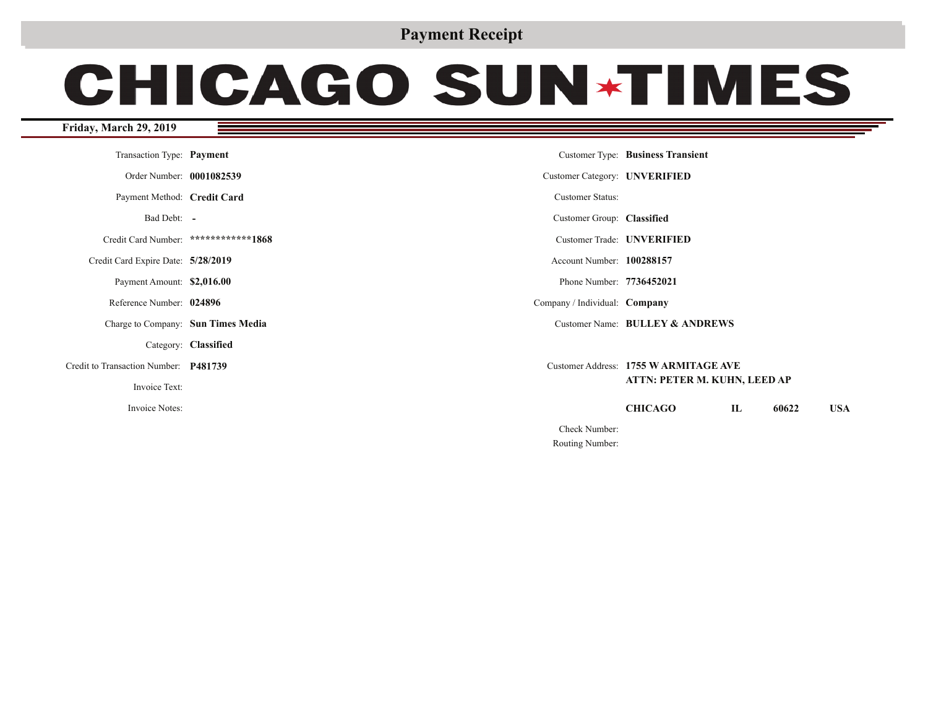## **Payment Receipt**

# **CHICAGO SUN\*TIMES**

#### **Friday, March 29, 2019**

| Transaction Type: Payment             |                                      |                               | Customer Type: Business Transient     |              |       |            |
|---------------------------------------|--------------------------------------|-------------------------------|---------------------------------------|--------------|-------|------------|
| Order Number: 0001082539              |                                      | Customer Category: UNVERIFIED |                                       |              |       |            |
| Payment Method: Credit Card           |                                      | <b>Customer Status:</b>       |                                       |              |       |            |
| Bad Debt: -                           |                                      | Customer Group: Classified    |                                       |              |       |            |
|                                       | Credit Card Number: ************1868 |                               | Customer Trade: <b>UNVERIFIED</b>     |              |       |            |
| Credit Card Expire Date: 5/28/2019    |                                      | Account Number: 100288157     |                                       |              |       |            |
| Payment Amount: \$2,016.00            |                                      | Phone Number: 7736452021      |                                       |              |       |            |
| Reference Number: 024896              |                                      | Company / Individual: Company |                                       |              |       |            |
| Charge to Company: Sun Times Media    |                                      |                               | Customer Name: BULLEY & ANDREWS       |              |       |            |
|                                       | Category: Classified                 |                               |                                       |              |       |            |
| Credit to Transaction Number: P481739 |                                      |                               | Customer Address: 1755 W ARMITAGE AVE |              |       |            |
| Invoice Text:                         |                                      |                               | ATTN: PETER M. KUHN, LEED AP          |              |       |            |
| Invoice Notes:                        |                                      |                               | <b>CHICAGO</b>                        | $\mathbf{I}$ | 60622 | <b>USA</b> |
|                                       |                                      | Check Number:                 |                                       |              |       |            |
|                                       |                                      | Routing Number:               |                                       |              |       |            |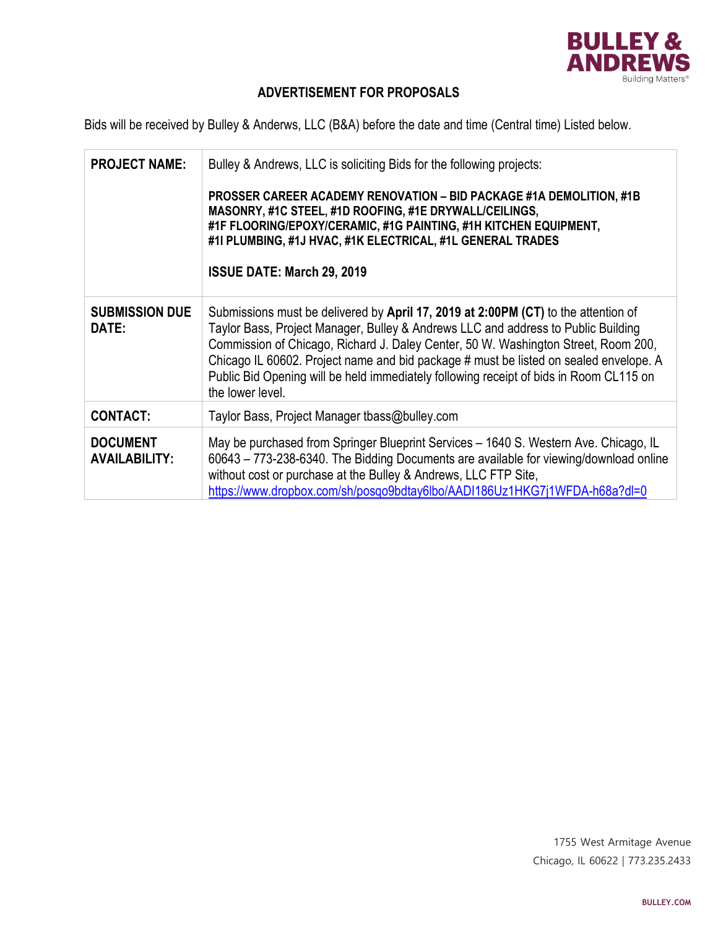

## **ADVERTISEMENT FOR PROPOSALS**

Bids will be received by Bulley & Anderws, LLC (B&A) before the date and time (Central time) Listed below.

| <b>PROJECT NAME:</b>                    | Bulley & Andrews, LLC is soliciting Bids for the following projects:                                                                                                                                                                                                                                                                                                                                                                                                 |
|-----------------------------------------|----------------------------------------------------------------------------------------------------------------------------------------------------------------------------------------------------------------------------------------------------------------------------------------------------------------------------------------------------------------------------------------------------------------------------------------------------------------------|
|                                         | <b>PROSSER CAREER ACADEMY RENOVATION - BID PACKAGE #1A DEMOLITION, #1B</b><br>MASONRY, #1C STEEL, #1D ROOFING, #1E DRYWALL/CEILINGS,<br>#1F FLOORING/EPOXY/CERAMIC, #1G PAINTING, #1H KITCHEN EQUIPMENT,<br>#1I PLUMBING, #1J HVAC, #1K ELECTRICAL, #1L GENERAL TRADES<br><b>ISSUE DATE: March 29, 2019</b>                                                                                                                                                          |
| <b>SUBMISSION DUE</b><br>DATE:          | Submissions must be delivered by April 17, 2019 at 2:00PM (CT) to the attention of<br>Taylor Bass, Project Manager, Bulley & Andrews LLC and address to Public Building<br>Commission of Chicago, Richard J. Daley Center, 50 W. Washington Street, Room 200,<br>Chicago IL 60602. Project name and bid package # must be listed on sealed envelope. A<br>Public Bid Opening will be held immediately following receipt of bids in Room CL115 on<br>the lower level. |
| <b>CONTACT:</b>                         | Taylor Bass, Project Manager tbass@bulley.com                                                                                                                                                                                                                                                                                                                                                                                                                        |
| <b>DOCUMENT</b><br><b>AVAILABILITY:</b> | May be purchased from Springer Blueprint Services - 1640 S. Western Ave. Chicago, IL<br>60643 - 773-238-6340. The Bidding Documents are available for viewing/download online<br>without cost or purchase at the Bulley & Andrews, LLC FTP Site,<br>https://www.dropbox.com/sh/posqo9bdtay6lbo/AADI186Uz1HKG7j1WFDA-h68a?dl=0                                                                                                                                        |